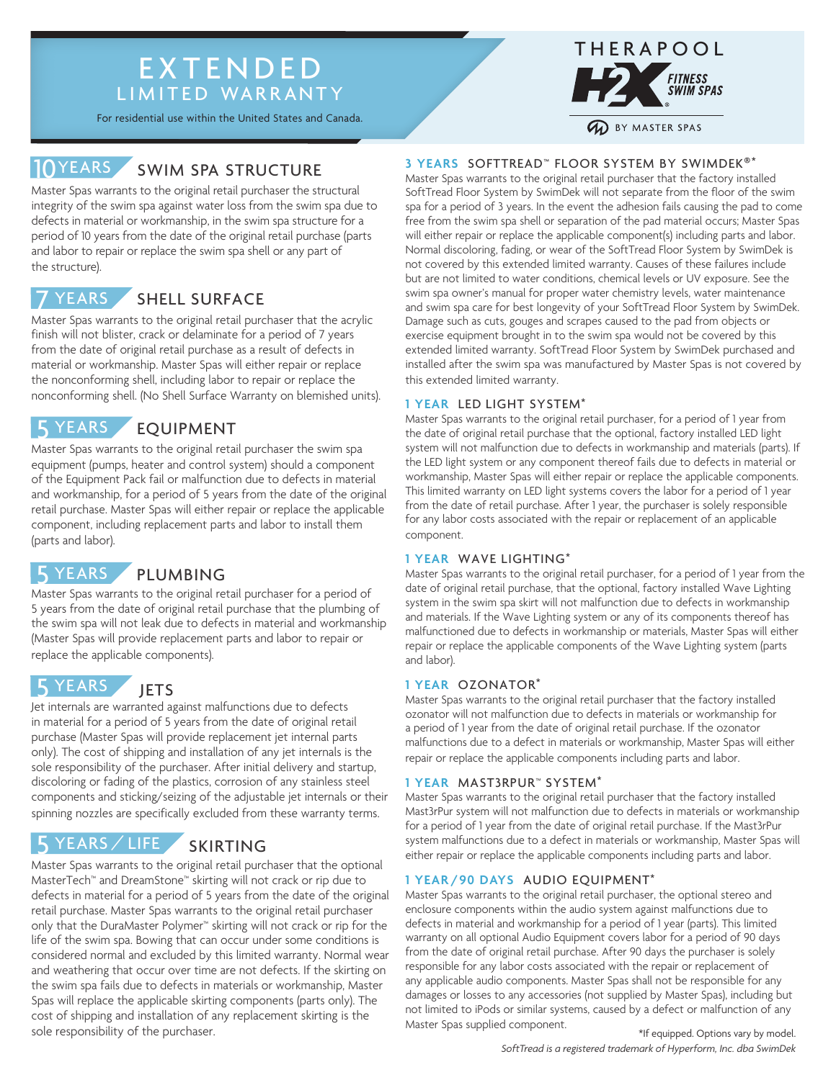# EXTENDED LIMITED WARRANTY

For residential use within the United States and Canada.

#### SWIM SPA STRUCTURE 10YEARS

Master Spas warrants to the original retail purchaser the structural integrity of the swim spa against water loss from the swim spa due to defects in material or workmanship, in the swim spa structure for a period of 10 years from the date of the original retail purchase (parts and labor to repair or replace the swim spa shell or any part of the structure).

#### SHELL SURFACE **YEARS**

Master Spas warrants to the original retail purchaser that the acrylic finish will not blister, crack or delaminate for a period of 7 years from the date of original retail purchase as a result of defects in material or workmanship. Master Spas will either repair or replace the nonconforming shell, including labor to repair or replace the nonconforming shell. (No Shell Surface Warranty on blemished units).

#### EQUIPMENT **YEARS**

Master Spas warrants to the original retail purchaser the swim spa equipment (pumps, heater and control system) should a component of the Equipment Pack fail or malfunction due to defects in material and workmanship, for a period of 5 years from the date of the original retail purchase. Master Spas will either repair or replace the applicable component, including replacement parts and labor to install them (parts and labor).

#### PLUMBING 5 YEARS

Master Spas warrants to the original retail purchaser for a period of 5 years from the date of original retail purchase that the plumbing of the swim spa will not leak due to defects in material and workmanship (Master Spas will provide replacement parts and labor to repair or replace the applicable components).

#### **JETS YEARS**

Jet internals are warranted against malfunctions due to defects in material for a period of 5 years from the date of original retail purchase (Master Spas will provide replacement jet internal parts only). The cost of shipping and installation of any jet internals is the sole responsibility of the purchaser. After initial delivery and startup, discoloring or fading of the plastics, corrosion of any stainless steel components and sticking/seizing of the adjustable jet internals or their spinning nozzles are specifically excluded from these warranty terms.

#### SKIRTING YEARS / LIFE

Master Spas warrants to the original retail purchaser that the optional MasterTech™ and DreamStone™ skirting will not crack or rip due to defects in material for a period of 5 years from the date of the original retail purchase. Master Spas warrants to the original retail purchaser only that the DuraMaster Polymer™ skirting will not crack or rip for the life of the swim spa. Bowing that can occur under some conditions is considered normal and excluded by this limited warranty. Normal wear and weathering that occur over time are not defects. If the skirting on the swim spa fails due to defects in materials or workmanship, Master Spas will replace the applicable skirting components (parts only). The cost of shipping and installation of any replacement skirting is the sole responsibility of the purchaser.



### **3 YEARS** SOFTTREAD™ FLOOR SYSTEM BY SWIMDEK®\*

Master Spas warrants to the original retail purchaser that the factory installed SoftTread Floor System by SwimDek will not separate from the floor of the swim spa for a period of 3 years. In the event the adhesion fails causing the pad to come free from the swim spa shell or separation of the pad material occurs; Master Spas will either repair or replace the applicable component(s) including parts and labor. Normal discoloring, fading, or wear of the SoftTread Floor System by SwimDek is not covered by this extended limited warranty. Causes of these failures include but are not limited to water conditions, chemical levels or UV exposure. See the swim spa owner's manual for proper water chemistry levels, water maintenance and swim spa care for best longevity of your SoftTread Floor System by SwimDek. Damage such as cuts, gouges and scrapes caused to the pad from objects or exercise equipment brought in to the swim spa would not be covered by this extended limited warranty. SoftTread Floor System by SwimDek purchased and installed after the swim spa was manufactured by Master Spas is not covered by this extended limited warranty.

### **1 YEAR** LED LIGHT SYSTEM\*

Master Spas warrants to the original retail purchaser, for a period of 1 year from the date of original retail purchase that the optional, factory installed LED light system will not malfunction due to defects in workmanship and materials (parts). If the LED light system or any component thereof fails due to defects in material or workmanship, Master Spas will either repair or replace the applicable components. This limited warranty on LED light systems covers the labor for a period of 1 year from the date of retail purchase. After 1 year, the purchaser is solely responsible for any labor costs associated with the repair or replacement of an applicable component.

### **1 YEAR** WAVE LIGHTING\*

Master Spas warrants to the original retail purchaser, for a period of 1 year from the date of original retail purchase, that the optional, factory installed Wave Lighting system in the swim spa skirt will not malfunction due to defects in workmanship and materials. If the Wave Lighting system or any of its components thereof has malfunctioned due to defects in workmanship or materials, Master Spas will either repair or replace the applicable components of the Wave Lighting system (parts and labor).

### **1 YEAR** OZONATOR\*

Master Spas warrants to the original retail purchaser that the factory installed ozonator will not malfunction due to defects in materials or workmanship for a period of 1 year from the date of original retail purchase. If the ozonator malfunctions due to a defect in materials or workmanship, Master Spas will either repair or replace the applicable components including parts and labor.

### **1 YEAR** MAST3RPUR™ SYSTEM\*

Master Spas warrants to the original retail purchaser that the factory installed Mast3rPur system will not malfunction due to defects in materials or workmanship for a period of 1 year from the date of original retail purchase. If the Mast3rPur system malfunctions due to a defect in materials or workmanship, Master Spas will either repair or replace the applicable components including parts and labor.

### **1 YEAR /90 DAYS** AUDIO EQUIPMENT\*

Master Spas warrants to the original retail purchaser, the optional stereo and enclosure components within the audio system against malfunctions due to defects in material and workmanship for a period of 1 year (parts). This limited warranty on all optional Audio Equipment covers labor for a period of 90 days from the date of original retail purchase. After 90 days the purchaser is solely responsible for any labor costs associated with the repair or replacement of any applicable audio components. Master Spas shall not be responsible for any damages or losses to any accessories (not supplied by Master Spas), including but not limited to iPods or similar systems, caused by a defect or malfunction of any Master Spas supplied component.